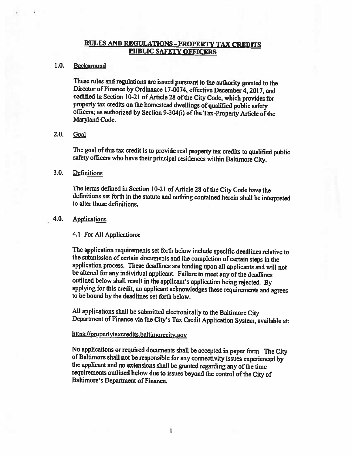# **RULES AND REGULATIONS - PROPERTY TAX CREDITS PUBLIC SAFETY OFFICERS**

#### $1.0.$ Background

These rules and regulations are issued pursuant to the authority granted to the Director of Finance by Ordinance 17-0074, effective December 4, 2017, and codified in Section 10-21 of Article 28 of the City Code, which provides for property tax credits on the homestead dwellings of qualified public safety officers; as authorized by Section 9-304(i) of the Tax-Property Article of the Maryland Code.

#### $2.0.$ Goal

The goal of this tax credit is to provide real property tax credits to qualified public safety officers who have their principal residences within Baltimore City.

#### $3.0.$ **Definitions**

The terms defined in Section 10-21 of Article 28 of the City Code have the definitions set forth in the statute and nothing contained herein shall be interpreted to alter those definitions

#### $4.0.$ **Applications**

4.1 For All Applications:

The application requirements set forth below include specific deadlines relative to the submission of certain documents and the completion of certain steps in the application process. These deadlines are binding upon all applicants and will not be altered for any individual applicant. Failure to meet any of the deadlines outlined below shall result in the applicant's application being rejected. By applying for this credit, an applicant acknowledges these requirements and agrees to be bound by the deadlines set forth below.

All applications shall be submitted electronically to the Baltimore City Department of Finance via the City's Tax Credit Application System, available at:

## https://propertytaxcredits.baltimorecity.gov

No applications or required documents shall be accepted in paper form. The City of Baltimore shall not be responsible for any connectivity issues experienced by the applicant and no extensions shall be granted regarding any of the time requirements outlined below due to issues beyond the control of the City of Baltimore's Department of Finance.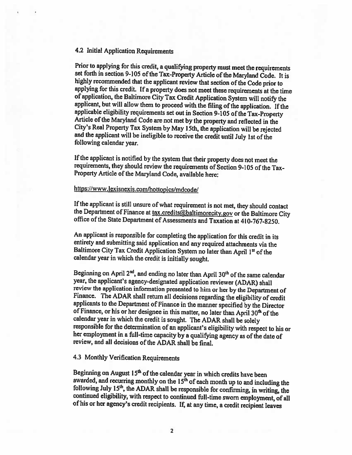#### 4.2 Initial Application Requirements

Prior to applying for this credit, a qualifying property must meet the requirements set forth in section 9-105 of the Tax-Property Article of the Maryland Code. It is highly recommended that the applicant review that section of the Code prior to applying for this credit. If a property does not meet these requirements at the time of application, the Baltimore City Tax Credit Application System will notify the applicant, but will allow them to proceed with the filing of the application. If the applicable eligibility requirements set out in Section 9-105 of the Tax-Property Article of the Maryland Code are not met by the property and reflected in the City's Real Property Tax System by May 15th, the application will be rejected and the applicant will be ineligible to receive the credit until July 1st of the following calendar year.

If the applicant is notified by the system that their property does not meet the requirements, they should review the requirements of Section 9-105 of the Tax-Property Article of the Maryland Code, available here:

# https://www.lexisnexis.com/hottopics/mdcode/

If the applicant is still unsure of what requirement is not met, they should contact the Department of Finance at tax.credits@baltimorecity.gov or the Baltimore City office of the State Department of Assessments and Taxation at 410-767-8250.

An applicant is responsible for completing the application for this credit in its entirety and submitting said application and any required attachments via the Baltimore City Tax Credit Application System no later than April 1st of the calendar year in which the credit is initially sought.

Beginning on April 2<sup>nd</sup>, and ending no later than April 30<sup>th</sup> of the same calendar year, the applicant's agency-designated application reviewer (ADAR) shall review the application information presented to him or her by the Department of Finance. The ADAR shall return all decisions regarding the eligibility of credit applicants to the Department of Finance in the manner specified by the Director of Finance, or his or her designee in this matter, no later than April 30<sup>th</sup> of the calendar year in which the credit is sought. The ADAR shall be solely responsible for the determination of an applicant's eligibility with respect to his or her employment in a full-time capacity by a qualifying agency as of the date of review, and all decisions of the ADAR shall be final.

# 4.3 Monthly Verification Requirements

Beginning on August 15<sup>th</sup> of the calendar year in which credits have been awarded, and recurring monthly on the 15<sup>th</sup> of each month up to and including the following July 15<sup>th</sup>, the ADAR shall be responsible for confirming, in writing, the continued eligibility, with respect to continued full-time sworn employment, of all of his or her agency's credit recipients. If, at any time, a credit recipient leaves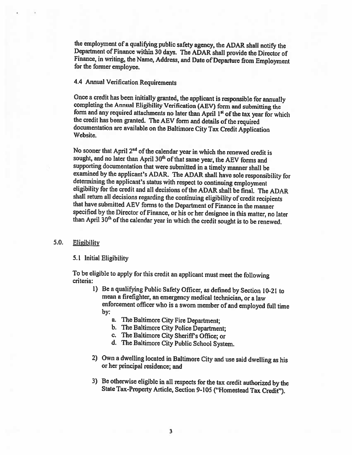the employment of a qualifying public safety agency, the ADAR shall notify the Department of Finance within 30 days. The ADAR shall provide the Director of Finance, in writing, the Name, Address, and Date of Departure from Employment for the former employee.

## 4.4 Annual Verification Requirements

Once a credit has been initially granted, the applicant is responsible for annually completing the Annual Eligibility Verification (AEV) form and submitting the form and any required attachments no later than April 1st of the tax year for which the credit has been granted. The AEV form and details of the required documentation are available on the Baltimore City Tax Credit Application Website.

No sooner that April  $2^{nd}$  of the calendar year in which the renewed credit is sought, and no later than April 30<sup>th</sup> of that same year, the AEV forms and supporting documentation that were submitted in a timely manner shall be examined by the applicant's ADAR. The ADAR shall have sole responsibility for determining the applicant's status with respect to continuing employment eligibility for the credit and all decisions of the ADAR shall be final. The ADAR shall return all decisions regarding the continuing eligibility of credit recipients that have submitted AEV forms to the Department of Finance in the manner specified by the Director of Finance, or his or her designee in this matter, no later than April 30<sup>th</sup> of the calendar year in which the credit sought is to be renewed.

#### 5.0. **Eligibility**

#### 5.1 Initial Eligibility

To be eligible to apply for this credit an applicant must meet the following criteria:

- 1) Be a qualifying Public Safety Officer, as defined by Section 10-21 to mean a firefighter, an emergency medical technician, or a law enforcement officer who is a sworn member of and employed full time  $by:$ 
	- a. The Baltimore City Fire Department;
	- b. The Baltimore City Police Department;
	- c. The Baltimore City Sheriff's Office; or
	- d. The Baltimore City Public School System.
- 2) Own a dwelling located in Baltimore City and use said dwelling as his or her principal residence; and
- 3) Be otherwise eligible in all respects for the tax credit authorized by the State Tax-Property Article, Section 9-105 ("Homestead Tax Credit").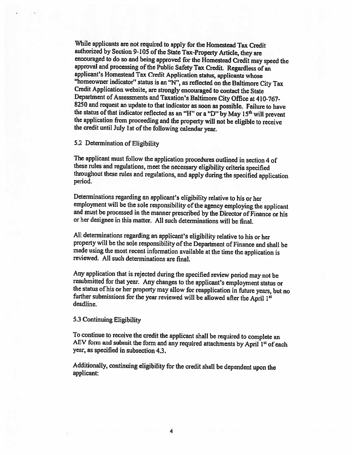While applicants are not required to apply for the Homestead Tax Credit authorized by Section 9-105 of the State Tax-Property Article, they are encouraged to do so and being approved for the Homestead Credit may speed the approval and processing of the Public Safety Tax Credit. Regardless of an applicant's Homestead Tax Credit Application status, applicants whose "homeowner indicator" status is an "N", as reflected on the Baltimore City Tax Credit Application website, are strongly encouraged to contact the State Department of Assessments and Taxation's Baltimore City Office at 410-767-8250 and request an update to that indicator as soon as possible. Failure to have the status of that indicator reflected as an "H" or a "D" by May 15<sup>th</sup> will prevent the application from proceeding and the property will not be eligible to receive the credit until July 1st of the following calendar year.

5.2 Determination of Eligibility

The applicant must follow the application procedures outlined in section 4 of these rules and regulations, meet the necessary eligibility criteria specified throughout these rules and regulations, and apply during the specified application period.

Determinations regarding an applicant's eligibility relative to his or her employment will be the sole responsibility of the agency employing the applicant and must be processed in the manner prescribed by the Director of Finance or his or her designee in this matter. All such determinations will be final.

All determinations regarding an applicant's eligibility relative to his or her property will be the sole responsibility of the Department of Finance and shall be made using the most recent information available at the time the application is reviewed. All such determinations are final.

Any application that is rejected during the specified review period may not be resubmitted for that year. Any changes to the applicant's employment status or the status of his or her property may allow for reapplication in future years, but no further submissions for the year reviewed will be allowed after the April 1st deadline.

5.3 Continuing Eligibility

To continue to receive the credit the applicant shall be required to complete an AEV form and submit the form and any required attachments by April 1st of each year, as specified in subsection 4.3.

Additionally, continuing eligibility for the credit shall be dependent upon the applicant: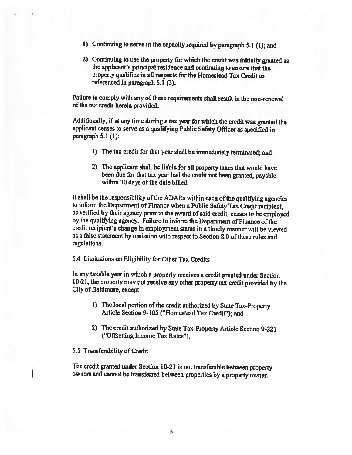- 1) Continuing to serve in the capacity required by paragraph 5.1 (1); and
- 2) Continuing to use the property for which the credit was initially granted as the applicant's principal residence and continuing to ensure that the property qualifies in all respects for the Homestead Tax Credit as referenced in paragraph 5.1 (3).

Failure to comply with any of these requirements shall result in the non-renewal of the tax credit herein provided.

Additionally, if at any time during a tax year for which the credit was granted the applicant ceases to serve as a qualifying Public Safety Officer as specified in paragraph 5.1 (1):

- 1) The tax credit for that year shall be immediately terminated; and
- 2) The applicant shall be liable for all property taxes that would have been due for that tax year had the credit not been granted, payable within 30 days of the date billed.

It shall be the responsibility of the ADARs within each of the qualifying agencies to inform the Department of Finance when a Public Safety Tax Credit recipient. as verified by their agency prior to the award of said credit, ceases to be employed by the qualifying agency. Failure to inform the Department of Finance of the credit recipient's change in employment status in a timely manner will be viewed as a false statement by omission with respect to Section 8.0 of these rules and regulations.

5.4 Limitations on Eligibility for Other Tax Credits

In any taxable year in which a property receives a credit granted under Section 10-21, the property may not receive any other property tax credit provided by the City of Baltimore, except:

- 1) The local portion of the credit authorized by State Tax-Property Article Section 9-105 ("Homestead Tax Credit"); and
- 2) The credit authorized by State Tax-Property Article Section 9-221 ("Offsetting Income Tax Rates").

5.5 Transferability of Credit

The credit granted under Section 10-21 is not transferable between property owners and cannot be transferred between properties by a property owner.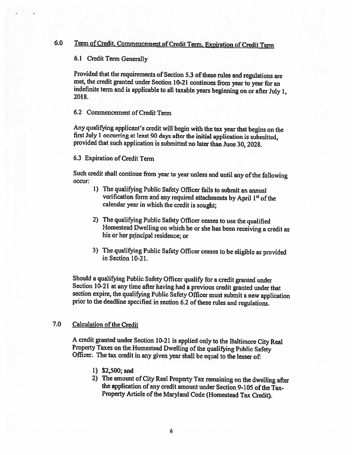#### $6.0$ Term of Credit, Commencement of Credit Term, Expiration of Credit Term

6.1 Credit Term Generally

Provided that the requirements of Section 5.3 of these rules and regulations are met, the credit granted under Section 10-21 continues from year to year for an indefinite term and is applicable to all taxable years beginning on or after July 1, 2018.

6.2 Commencement of Credit Term

Any qualifying applicant's credit will begin with the tax year that begins on the first July 1 occurring at least 90 days after the initial application is submitted. provided that such application is submitted no later than June 30, 2028.

6.3 Expiration of Credit Term

Such credit shall continue from year to year unless and until any of the following occur:

- 1) The qualifying Public Safety Officer fails to submit an annual verification form and any required attachments by April 1st of the calendar year in which the credit is sought;
- 2) The qualifying Public Safety Officer ceases to use the qualified Homestead Dwelling on which he or she has been receiving a credit as his or her principal residence; or
- 3) The qualifying Public Safety Officer ceases to be eligible as provided in Section 10-21.

Should a qualifying Public Safety Officer qualify for a credit granted under Section 10-21 at any time after having had a previous credit granted under that section expire, the qualifying Public Safety Officer must submit a new application prior to the deadline specified in section 6.2 of these rules and regulations.

#### 7.0 **Calculation of the Credit**

A credit granted under Section 10-21 is applied only to the Baltimore City Real Property Taxes on the Homestead Dwelling of the qualifying Public Safety Officer. The tax credit in any given year shall be equal to the lesser of:

- $1)$  \$2,500; and
- 2) The amount of City Real Property Tax remaining on the dwelling after the application of any credit amount under Section 9-105 of the Tax-Property Article of the Maryland Code (Homestead Tax Credit).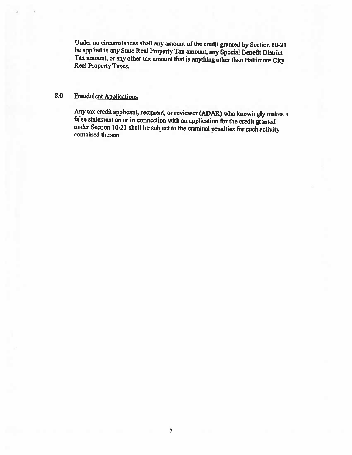Under no circumstances shall any amount of the credit granted by Section 10-21 be applied to any State Real Property Tax amount, any Special Benefit District Tax amount, or any other tax amount that is anything other than Baltimore City Real Property Taxes.

#### 8.0 **Fraudulent Applications**

Any tax credit applicant, recipient, or reviewer (ADAR) who knowingly makes a false statement on or in connection with an application for the credit granted under Section 10-21 shall be subject to the criminal penalties for such activity contained therein.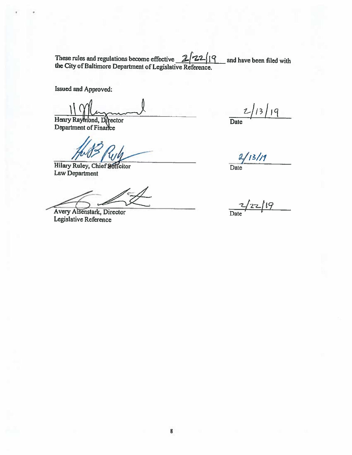These rules and regulations become effective  $2/22/19$ <br>the City of Baltimore Department of Legislative Reference. and have been filed with

Issued and Approved:

Henry Raymond, Director<br>Department of Finance

Hilary Ruley, Chief Solicitor Law Department

Avery Aisenstark, Director Legislative Reference

 $2/13/19$  $\overline{Date}$ 

 $2/13/19$ 

Date

 $\frac{2}{\text{Date}}$  /22/19

8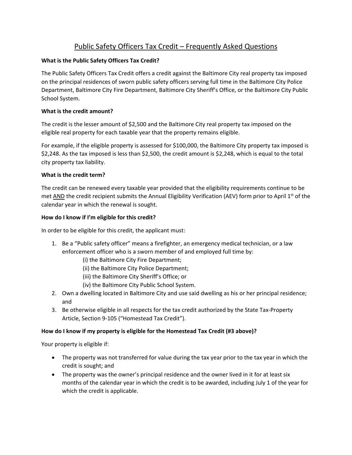# Public Safety Officers Tax Credit – Frequently Asked Questions

# **What is the Public Safety Officers Tax Credit?**

The Public Safety Officers Tax Credit offers a credit against the Baltimore City real property tax imposed on the principal residences of sworn public safety officers serving full time in the Baltimore City Police Department, Baltimore City Fire Department, Baltimore City Sheriff's Office, or the Baltimore City Public School System.

# **What is the credit amount?**

The credit is the lesser amount of \$2,500 and the Baltimore City real property tax imposed on the eligible real property for each taxable year that the property remains eligible.

For example, if the eligible property is assessed for \$100,000, the Baltimore City property tax imposed is \$2,248. As the tax imposed is less than \$2,500, the credit amount is \$2,248, which is equal to the total city property tax liability.

# **What is the credit term?**

The credit can be renewed every taxable year provided that the eligibility requirements continue to be met AND the credit recipient submits the Annual Eligibility Verification (AEV) form prior to April 1<sup>st</sup> of the calendar year in which the renewal is sought.

# **How do I know if I'm eligible for this credit?**

In order to be eligible for this credit, the applicant must:

- 1. Be a "Public safety officer" means a firefighter, an emergency medical technician, or a law enforcement officer who is a sworn member of and employed full time by:
	- (i) the Baltimore City Fire Department;
	- (ii) the Baltimore City Police Department;
	- (iii) the Baltimore City Sheriff's Office; or
	- (iv) the Baltimore City Public School System.
- 2. Own a dwelling located in Baltimore City and use said dwelling as his or her principal residence; and
- 3. Be otherwise eligible in all respects for the tax credit authorized by the State Tax‐Property Article, Section 9‐105 ("Homestead Tax Credit").

# **How do I know if my property is eligible for the Homestead Tax Credit (#3 above)?**

Your property is eligible if:

- The property was not transferred for value during the tax year prior to the tax year in which the credit is sought; and
- The property was the owner's principal residence and the owner lived in it for at least six months of the calendar year in which the credit is to be awarded, including July 1 of the year for which the credit is applicable.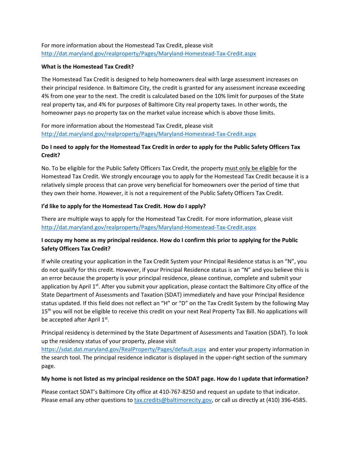# For more information about the Homestead Tax Credit, please visit http://dat.maryland.gov/realproperty/Pages/Maryland‐Homestead‐Tax‐Credit.aspx

### **What is the Homestead Tax Credit?**

The Homestead Tax Credit is designed to help homeowners deal with large assessment increases on their principal residence. In Baltimore City, the credit is granted for any assessment increase exceeding 4% from one year to the next. The credit is calculated based on the 10% limit for purposes of the State real property tax, and 4% for purposes of Baltimore City real property taxes. In other words, the homeowner pays no property tax on the market value increase which is above those limits.

For more information about the Homestead Tax Credit, please visit http://dat.maryland.gov/realproperty/Pages/Maryland‐Homestead‐Tax‐Credit.aspx

# Do I need to apply for the Homestead Tax Credit in order to apply for the Public Safety Officers Tax **Credit?**

No. To be eligible for the Public Safety Officers Tax Credit, the property must only be eligible for the Homestead Tax Credit. We strongly encourage you to apply for the Homestead Tax Credit because it is a relatively simple process that can prove very beneficial for homeowners over the period of time that they own their home. However, it is not a requirement of the Public Safety Officers Tax Credit.

### **I'd like to apply for the Homestead Tax Credit. How do I apply?**

There are multiple ways to apply for the Homestead Tax Credit. For more information, please visit http://dat.maryland.gov/realproperty/Pages/Maryland‐Homestead‐Tax‐Credit.aspx

# I occupy my home as my principal residence. How do I confirm this prior to applying for the Public **Safety Officers Tax Credit?**

If while creating your application in the Tax Credit System your Principal Residence status is an "N", you do not qualify for this credit. However, if your Principal Residence status is an "N" and you believe this is an error because the property is your principal residence, please continue, complete and submit your application by April 1<sup>st</sup>. After you submit your application, please contact the Baltimore City office of the State Department of Assessments and Taxation (SDAT) immediately and have your Principal Residence status updated. If this field does not reflect an "H" or "D" on the Tax Credit System by the following May 15<sup>th</sup> you will not be eligible to receive this credit on your next Real Property Tax Bill. No applications will be accepted after April 1st.

Principal residency is determined by the State Department of Assessments and Taxation (SDAT). To look up the residency status of your property, please visit

https://sdat.dat.maryland.gov/RealProperty/Pages/default.aspx and enter your property information in the search tool. The principal residence indicator is displayed in the upper‐right section of the summary page.

# My home is not listed as my principal residence on the SDAT page. How do I update that information?

Please contact SDAT's Baltimore City office at 410‐767‐8250 and request an update to that indicator. Please email any other questions to tax.credits@baltimorecity.gov, or call us directly at (410) 396‐4585.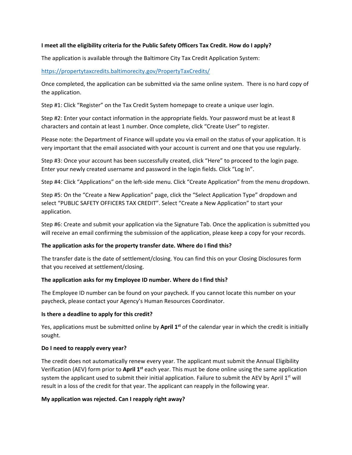### **I meet all the eligibility criteria for the Public Safety Officers Tax Credit. How do I apply?**

The application is available through the Baltimore City Tax Credit Application System:

### https://propertytaxcredits.baltimorecity.gov/PropertyTaxCredits/

Once completed, the application can be submitted via the same online system. There is no hard copy of the application.

Step #1: Click "Register" on the Tax Credit System homepage to create a unique user login.

Step #2: Enter your contact information in the appropriate fields. Your password must be at least 8 characters and contain at least 1 number. Once complete, click "Create User" to register.

Please note: the Department of Finance will update you via email on the status of your application. It is very important that the email associated with your account is current and one that you use regularly.

Step #3: Once your account has been successfully created, click "Here" to proceed to the login page. Enter your newly created username and password in the login fields. Click "Log In".

Step #4: Click "Applications" on the left‐side menu. Click "Create Application" from the menu dropdown.

Step #5: On the "Create a New Application" page, click the "Select Application Type" dropdown and select "PUBLIC SAFETY OFFICERS TAX CREDIT". Select "Create a New Application" to start your application.

Step #6: Create and submit your application via the Signature Tab. Once the application is submitted you will receive an email confirming the submission of the application, please keep a copy for your records.

#### **The application asks for the property transfer date. Where do I find this?**

The transfer date is the date of settlement/closing. You can find this on your Closing Disclosures form that you received at settlement/closing.

#### **The application asks for my Employee ID number. Where do I find this?**

The Employee ID number can be found on your paycheck. If you cannot locate this number on your paycheck, please contact your Agency's Human Resources Coordinator.

#### **Is there a deadline to apply for this credit?**

Yes, applications must be submitted online by **April 1st** of the calendar year in which the credit is initially sought.

#### **Do I need to reapply every year?**

The credit does not automatically renew every year. The applicant must submit the Annual Eligibility Verification (AEV) form prior to **April 1st** each year. This must be done online using the same application system the applicant used to submit their initial application. Failure to submit the AEV by April  $1^{st}$  will result in a loss of the credit for that year. The applicant can reapply in the following year.

### **My application was rejected. Can I reapply right away?**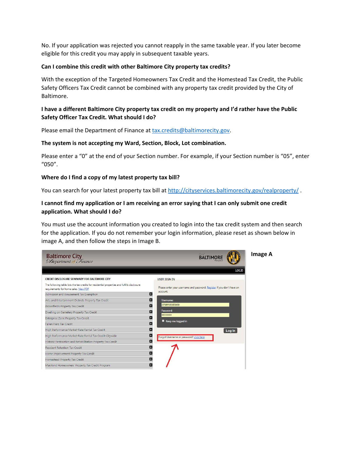No. If your application was rejected you cannot reapply in the same taxable year. If you later become eligible for this credit you may apply in subsequent taxable years.

#### **Can I combine this credit with other Baltimore City property tax credits?**

With the exception of the Targeted Homeowners Tax Credit and the Homestead Tax Credit, the Public Safety Officers Tax Credit cannot be combined with any property tax credit provided by the City of Baltimore.

# I have a different Baltimore City property tax credit on my property and I'd rather have the Public **Safety Officer Tax Credit. What should I do?**

Please email the Department of Finance at tax.credits@baltimorecity.gov.

#### **The system is not accepting my Ward, Section, Block, Lot combination.**

Please enter a "0" at the end of your Section number. For example, if your Section number is "05", enter "050".

#### **Where do I find a copy of my latest property tax bill?**

You can search for your latest property tax bill at http://cityservices.baltimorecity.gov/realproperty/.

# I cannot find my application or I am receiving an error saying that I can only submit one credit **application. What should I do?**

You must use the account information you created to login into the tax credit system and then search for the application. If you do not remember your login information, please reset as shown below in image A, and then follow the steps in Image B.

| <b>Baltimore City</b><br><i>Department of Finance</i>                                                                                 | City of<br><b>BALTIN</b>                                               |  |  |  |  |
|---------------------------------------------------------------------------------------------------------------------------------------|------------------------------------------------------------------------|--|--|--|--|
| CREDIT DISCLOSURE SUMMARY FOR BALTIMORE CITY                                                                                          | Log In<br><b>USER SIGN IN</b>                                          |  |  |  |  |
| The following table lists the tax credits for residential properties and fulfills disclosure<br>requirements for home sales. View PDF | Please enter your username and password. Register if you don't have an |  |  |  |  |
| Admission and Amusement Tax Exemption                                                                                                 | account.<br>o                                                          |  |  |  |  |
| Arts and Entertainment Districts Property Tax Credit                                                                                  | Ð<br>Usemame:                                                          |  |  |  |  |
| Brownfields Property Tax Credit                                                                                                       | iohannacollado<br>B                                                    |  |  |  |  |
| Dwelling on Cemetery Property Tax Credit                                                                                              | Password:<br>O<br>                                                     |  |  |  |  |
| Enterprise Zone Property Tax Credit                                                                                                   | n                                                                      |  |  |  |  |
| Fallen Hero Tax Credit                                                                                                                | Keep me logged in<br>ø                                                 |  |  |  |  |
| High Performance Market-Rate Rental Tax Credit                                                                                        | Ð<br>Log in                                                            |  |  |  |  |
| High Performance Market-Rate Rental Tax Credit-Citywide                                                                               | O<br>Forgot Username or password? click here                           |  |  |  |  |
| Historic Restoration and Rehabilitation Property Tax Credit                                                                           | o                                                                      |  |  |  |  |
| Resident Retention Tax Credit                                                                                                         |                                                                        |  |  |  |  |
| Home Improvement Property Tax Credit                                                                                                  |                                                                        |  |  |  |  |
| Homestead Property Tax Credit                                                                                                         | O                                                                      |  |  |  |  |
| Maryland Homeowners' Property Tax Credit Program                                                                                      | ŀ                                                                      |  |  |  |  |